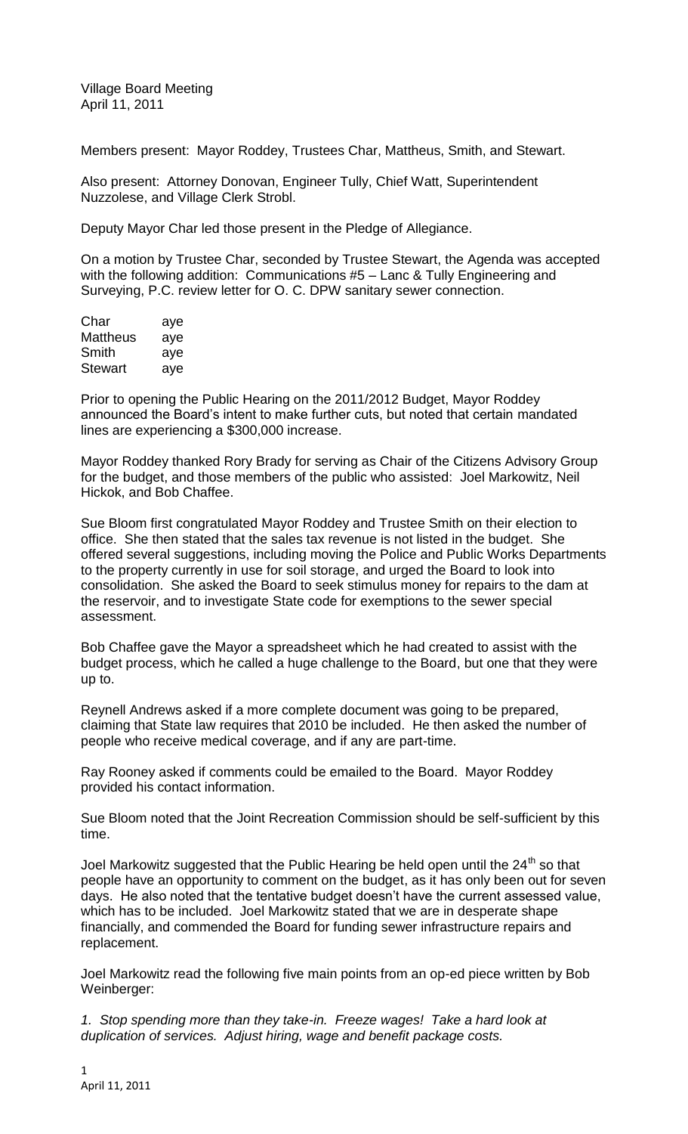Village Board Meeting April 11, 2011

Members present: Mayor Roddey, Trustees Char, Mattheus, Smith, and Stewart.

Also present: Attorney Donovan, Engineer Tully, Chief Watt, Superintendent Nuzzolese, and Village Clerk Strobl.

Deputy Mayor Char led those present in the Pledge of Allegiance.

On a motion by Trustee Char, seconded by Trustee Stewart, the Agenda was accepted with the following addition: Communications #5 – Lanc & Tully Engineering and Surveying, P.C. review letter for O. C. DPW sanitary sewer connection.

| Char            | aye |
|-----------------|-----|
| <b>Mattheus</b> | aye |
| Smith           | aye |
| Stewart         | aye |

Prior to opening the Public Hearing on the 2011/2012 Budget, Mayor Roddey announced the Board's intent to make further cuts, but noted that certain mandated lines are experiencing a \$300,000 increase.

Mayor Roddey thanked Rory Brady for serving as Chair of the Citizens Advisory Group for the budget, and those members of the public who assisted: Joel Markowitz, Neil Hickok, and Bob Chaffee.

Sue Bloom first congratulated Mayor Roddey and Trustee Smith on their election to office. She then stated that the sales tax revenue is not listed in the budget. She offered several suggestions, including moving the Police and Public Works Departments to the property currently in use for soil storage, and urged the Board to look into consolidation. She asked the Board to seek stimulus money for repairs to the dam at the reservoir, and to investigate State code for exemptions to the sewer special assessment.

Bob Chaffee gave the Mayor a spreadsheet which he had created to assist with the budget process, which he called a huge challenge to the Board, but one that they were up to.

Reynell Andrews asked if a more complete document was going to be prepared, claiming that State law requires that 2010 be included. He then asked the number of people who receive medical coverage, and if any are part-time.

Ray Rooney asked if comments could be emailed to the Board. Mayor Roddey provided his contact information.

Sue Bloom noted that the Joint Recreation Commission should be self-sufficient by this time.

Joel Markowitz suggested that the Public Hearing be held open until the  $24<sup>th</sup>$  so that people have an opportunity to comment on the budget, as it has only been out for seven days. He also noted that the tentative budget doesn't have the current assessed value, which has to be included. Joel Markowitz stated that we are in desperate shape financially, and commended the Board for funding sewer infrastructure repairs and replacement.

Joel Markowitz read the following five main points from an op-ed piece written by Bob Weinberger:

*1. Stop spending more than they take-in. Freeze wages! Take a hard look at duplication of services. Adjust hiring, wage and benefit package costs.*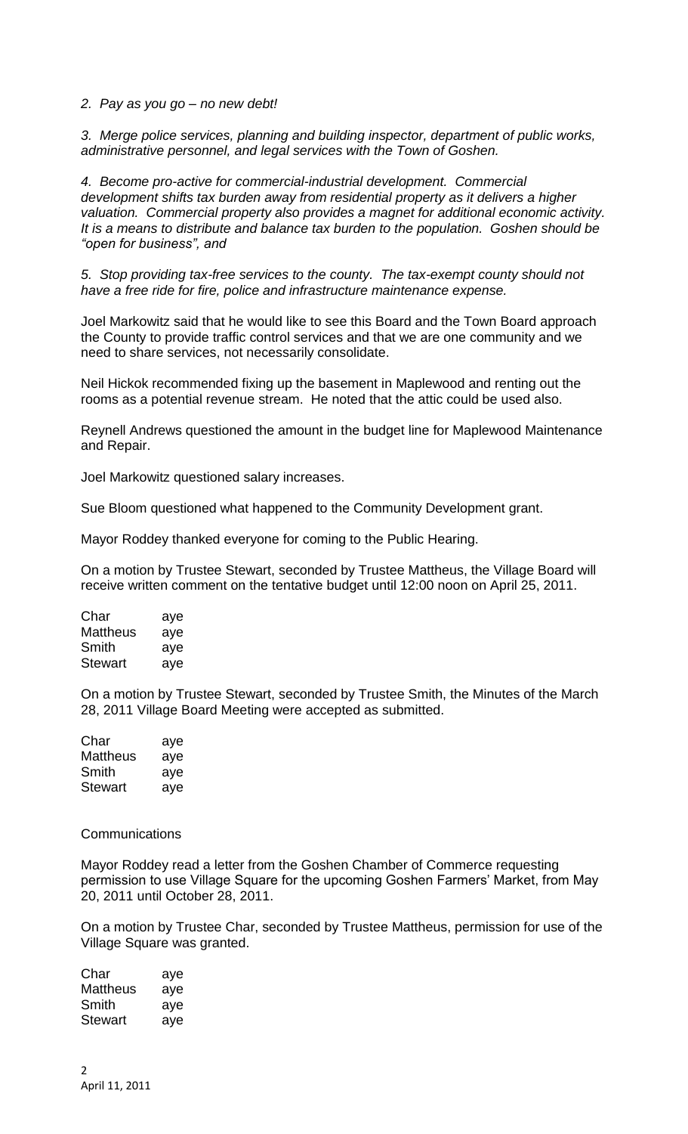*2. Pay as you go – no new debt!*

*3. Merge police services, planning and building inspector, department of public works, administrative personnel, and legal services with the Town of Goshen.*

*4. Become pro-active for commercial-industrial development. Commercial development shifts tax burden away from residential property as it delivers a higher valuation. Commercial property also provides a magnet for additional economic activity. It is a means to distribute and balance tax burden to the population. Goshen should be "open for business", and*

*5. Stop providing tax-free services to the county. The tax-exempt county should not have a free ride for fire, police and infrastructure maintenance expense.*

Joel Markowitz said that he would like to see this Board and the Town Board approach the County to provide traffic control services and that we are one community and we need to share services, not necessarily consolidate.

Neil Hickok recommended fixing up the basement in Maplewood and renting out the rooms as a potential revenue stream. He noted that the attic could be used also.

Reynell Andrews questioned the amount in the budget line for Maplewood Maintenance and Repair.

Joel Markowitz questioned salary increases.

Sue Bloom questioned what happened to the Community Development grant.

Mayor Roddey thanked everyone for coming to the Public Hearing.

On a motion by Trustee Stewart, seconded by Trustee Mattheus, the Village Board will receive written comment on the tentative budget until 12:00 noon on April 25, 2011.

| Char     | aye |
|----------|-----|
| Mattheus | aye |
| Smith    | aye |
| Stewart  | aye |

On a motion by Trustee Stewart, seconded by Trustee Smith, the Minutes of the March 28, 2011 Village Board Meeting were accepted as submitted.

| Char            | aye |
|-----------------|-----|
| <b>Mattheus</b> | aye |
| Smith           | aye |
| Stewart         | aye |

## **Communications**

Mayor Roddey read a letter from the Goshen Chamber of Commerce requesting permission to use Village Square for the upcoming Goshen Farmers' Market, from May 20, 2011 until October 28, 2011.

On a motion by Trustee Char, seconded by Trustee Mattheus, permission for use of the Village Square was granted.

| Char     | aye |
|----------|-----|
| Mattheus | aye |
| Smith    | aye |
| Stewart  | aye |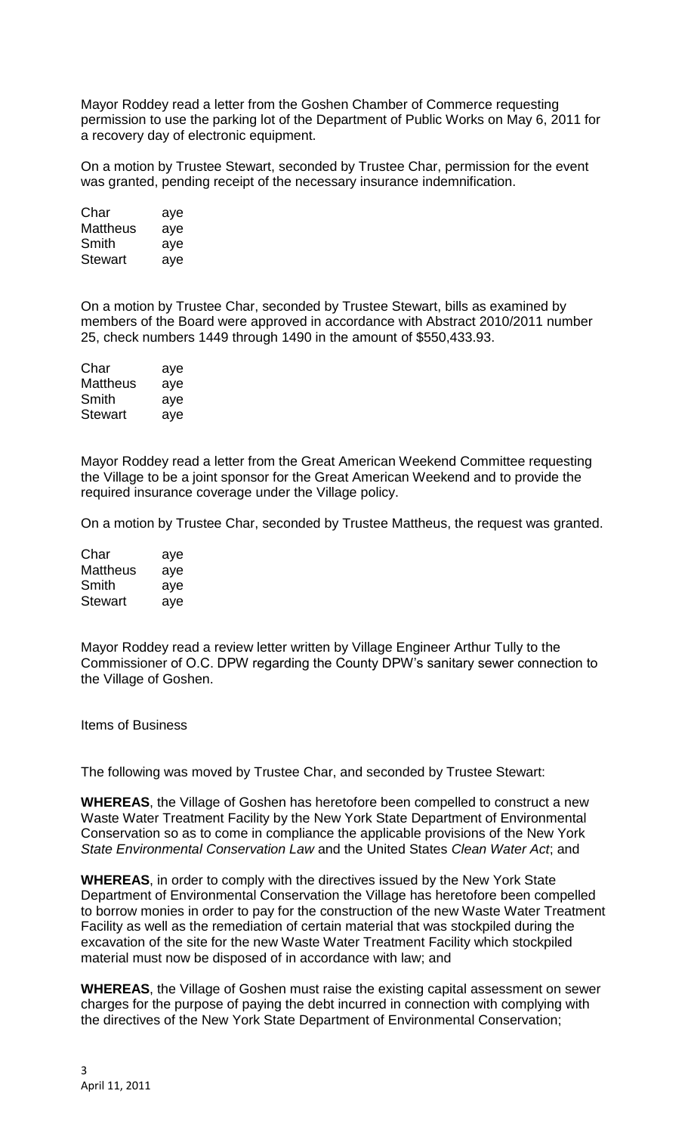Mayor Roddey read a letter from the Goshen Chamber of Commerce requesting permission to use the parking lot of the Department of Public Works on May 6, 2011 for a recovery day of electronic equipment.

On a motion by Trustee Stewart, seconded by Trustee Char, permission for the event was granted, pending receipt of the necessary insurance indemnification.

| Char     | aye |
|----------|-----|
| Mattheus | aye |
| Smith    | aye |
| Stewart  | aye |

On a motion by Trustee Char, seconded by Trustee Stewart, bills as examined by members of the Board were approved in accordance with Abstract 2010/2011 number 25, check numbers 1449 through 1490 in the amount of \$550,433.93.

| Char     | aye |
|----------|-----|
| Mattheus | aye |
| Smith    | aye |
| Stewart  | aye |

Mayor Roddey read a letter from the Great American Weekend Committee requesting the Village to be a joint sponsor for the Great American Weekend and to provide the required insurance coverage under the Village policy.

On a motion by Trustee Char, seconded by Trustee Mattheus, the request was granted.

| Char           | aye |
|----------------|-----|
| Mattheus       | aye |
| Smith          | aye |
| <b>Stewart</b> | aye |

Mayor Roddey read a review letter written by Village Engineer Arthur Tully to the Commissioner of O.C. DPW regarding the County DPW's sanitary sewer connection to the Village of Goshen.

Items of Business

The following was moved by Trustee Char, and seconded by Trustee Stewart:

**WHEREAS**, the Village of Goshen has heretofore been compelled to construct a new Waste Water Treatment Facility by the New York State Department of Environmental Conservation so as to come in compliance the applicable provisions of the New York *State Environmental Conservation Law* and the United States *Clean Water Act*; and

**WHEREAS**, in order to comply with the directives issued by the New York State Department of Environmental Conservation the Village has heretofore been compelled to borrow monies in order to pay for the construction of the new Waste Water Treatment Facility as well as the remediation of certain material that was stockpiled during the excavation of the site for the new Waste Water Treatment Facility which stockpiled material must now be disposed of in accordance with law; and

**WHEREAS**, the Village of Goshen must raise the existing capital assessment on sewer charges for the purpose of paying the debt incurred in connection with complying with the directives of the New York State Department of Environmental Conservation;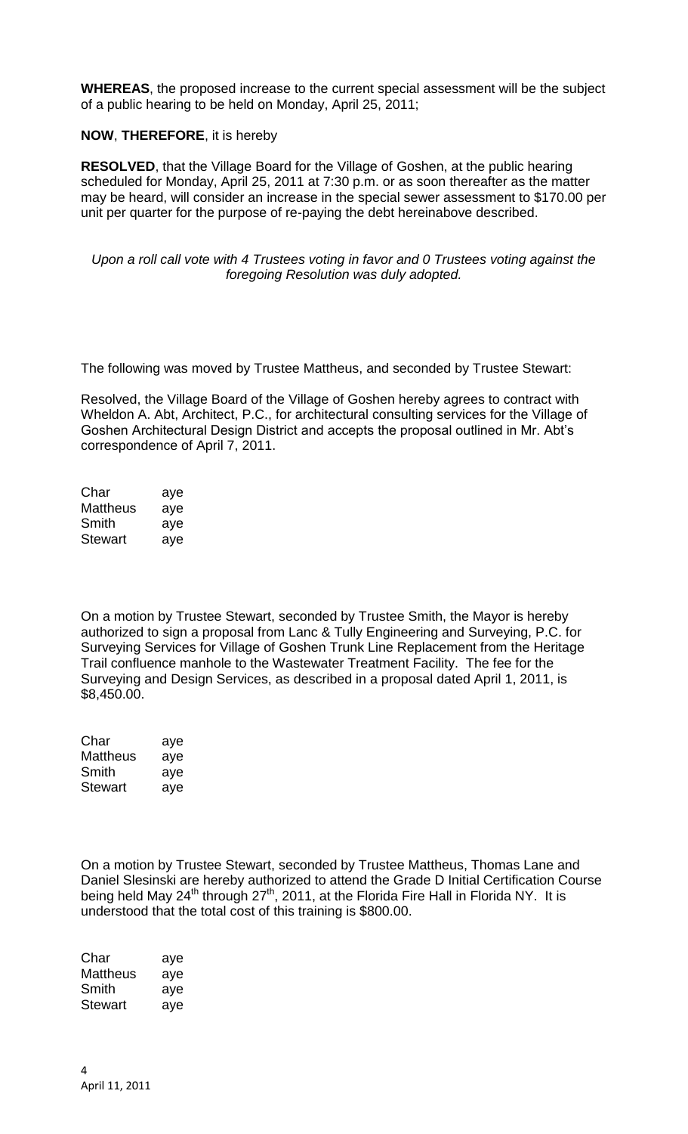**WHEREAS**, the proposed increase to the current special assessment will be the subject of a public hearing to be held on Monday, April 25, 2011;

## **NOW**, **THEREFORE**, it is hereby

**RESOLVED**, that the Village Board for the Village of Goshen, at the public hearing scheduled for Monday, April 25, 2011 at 7:30 p.m. or as soon thereafter as the matter may be heard, will consider an increase in the special sewer assessment to \$170.00 per unit per quarter for the purpose of re-paying the debt hereinabove described.

## *Upon a roll call vote with 4 Trustees voting in favor and 0 Trustees voting against the foregoing Resolution was duly adopted.*

The following was moved by Trustee Mattheus, and seconded by Trustee Stewart:

Resolved, the Village Board of the Village of Goshen hereby agrees to contract with Wheldon A. Abt, Architect, P.C., for architectural consulting services for the Village of Goshen Architectural Design District and accepts the proposal outlined in Mr. Abt's correspondence of April 7, 2011.

| Char     | aye |
|----------|-----|
| Mattheus | aye |
| Smith    | aye |
| Stewart  | aye |

On a motion by Trustee Stewart, seconded by Trustee Smith, the Mayor is hereby authorized to sign a proposal from Lanc & Tully Engineering and Surveying, P.C. for Surveying Services for Village of Goshen Trunk Line Replacement from the Heritage Trail confluence manhole to the Wastewater Treatment Facility. The fee for the Surveying and Design Services, as described in a proposal dated April 1, 2011, is \$8,450.00.

| Char     | aye |
|----------|-----|
| Mattheus | aye |
| Smith    | aye |
| Stewart  | aye |

On a motion by Trustee Stewart, seconded by Trustee Mattheus, Thomas Lane and Daniel Slesinski are hereby authorized to attend the Grade D Initial Certification Course being held May 24<sup>th</sup> through 27<sup>th</sup>, 2011, at the Florida Fire Hall in Florida NY. It is understood that the total cost of this training is \$800.00.

Char aye Mattheus aye Smith aye Stewart ave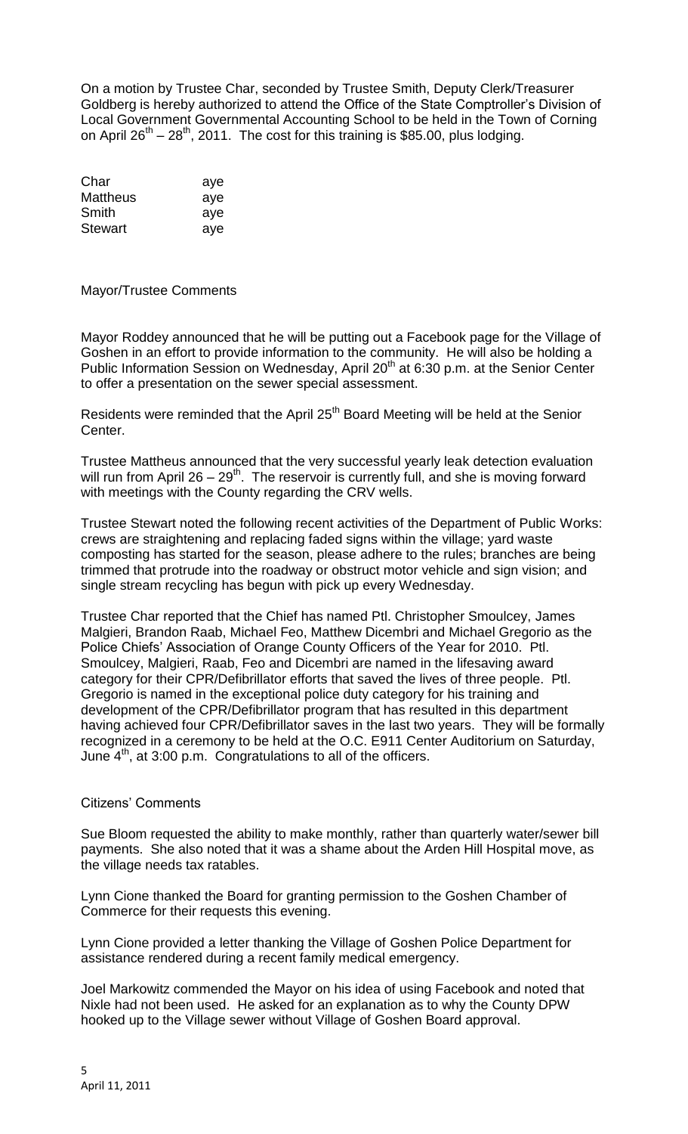On a motion by Trustee Char, seconded by Trustee Smith, Deputy Clerk/Treasurer Goldberg is hereby authorized to attend the Office of the State Comptroller's Division of Local Government Governmental Accounting School to be held in the Town of Corning on April 26<sup>th</sup> – 28<sup>th</sup>, 2011. The cost for this training is \$85.00, plus lodging.

| Char     | aye |
|----------|-----|
| Mattheus | aye |
| Smith    | aye |
| Stewart  | ave |

Mayor/Trustee Comments

Mayor Roddey announced that he will be putting out a Facebook page for the Village of Goshen in an effort to provide information to the community. He will also be holding a Public Information Session on Wednesday, April  $20<sup>th</sup>$  at 6:30 p.m. at the Senior Center to offer a presentation on the sewer special assessment.

Residents were reminded that the April 25<sup>th</sup> Board Meeting will be held at the Senior Center.

Trustee Mattheus announced that the very successful yearly leak detection evaluation will run from April 26 – 29<sup>th</sup>. The reservoir is currently full, and she is moving forward with meetings with the County regarding the CRV wells.

Trustee Stewart noted the following recent activities of the Department of Public Works: crews are straightening and replacing faded signs within the village; yard waste composting has started for the season, please adhere to the rules; branches are being trimmed that protrude into the roadway or obstruct motor vehicle and sign vision; and single stream recycling has begun with pick up every Wednesday.

Trustee Char reported that the Chief has named Ptl. Christopher Smoulcey, James Malgieri, Brandon Raab, Michael Feo, Matthew Dicembri and Michael Gregorio as the Police Chiefs' Association of Orange County Officers of the Year for 2010. Ptl. Smoulcey, Malgieri, Raab, Feo and Dicembri are named in the lifesaving award category for their CPR/Defibrillator efforts that saved the lives of three people. Ptl. Gregorio is named in the exceptional police duty category for his training and development of the CPR/Defibrillator program that has resulted in this department having achieved four CPR/Defibrillator saves in the last two years. They will be formally recognized in a ceremony to be held at the O.C. E911 Center Auditorium on Saturday, June  $4<sup>th</sup>$ , at 3:00 p.m. Congratulations to all of the officers.

## Citizens' Comments

Sue Bloom requested the ability to make monthly, rather than quarterly water/sewer bill payments. She also noted that it was a shame about the Arden Hill Hospital move, as the village needs tax ratables.

Lynn Cione thanked the Board for granting permission to the Goshen Chamber of Commerce for their requests this evening.

Lynn Cione provided a letter thanking the Village of Goshen Police Department for assistance rendered during a recent family medical emergency.

Joel Markowitz commended the Mayor on his idea of using Facebook and noted that Nixle had not been used. He asked for an explanation as to why the County DPW hooked up to the Village sewer without Village of Goshen Board approval.